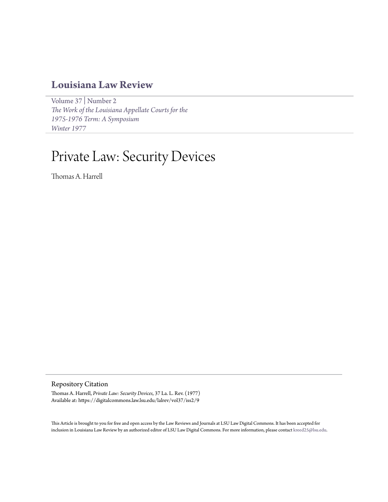# **[Louisiana Law Review](https://digitalcommons.law.lsu.edu/lalrev)**

[Volume 37](https://digitalcommons.law.lsu.edu/lalrev/vol37) | [Number 2](https://digitalcommons.law.lsu.edu/lalrev/vol37/iss2) *[The Work of the Louisiana Appellate Courts for the](https://digitalcommons.law.lsu.edu/lalrev/vol37/iss2) [1975-1976 Term: A Symposium](https://digitalcommons.law.lsu.edu/lalrev/vol37/iss2) [Winter 1977](https://digitalcommons.law.lsu.edu/lalrev/vol37/iss2)*

# Private Law: Security Devices

Thomas A. Harrell

Repository Citation

Thomas A. Harrell, *Private Law: Security Devices*, 37 La. L. Rev. (1977) Available at: https://digitalcommons.law.lsu.edu/lalrev/vol37/iss2/9

This Article is brought to you for free and open access by the Law Reviews and Journals at LSU Law Digital Commons. It has been accepted for inclusion in Louisiana Law Review by an authorized editor of LSU Law Digital Commons. For more information, please contact [kreed25@lsu.edu](mailto:kreed25@lsu.edu).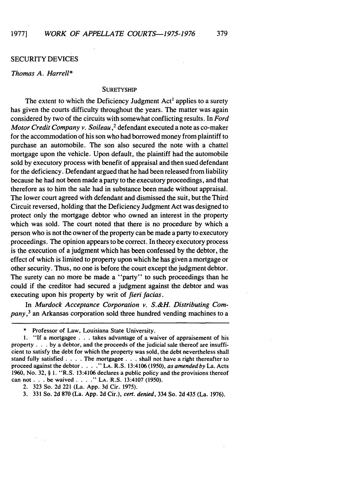#### SECURITY DEVICES

# Thomas A. *Harrell\**

### **SURETYSHIP**

The extent to which the Deficiency Judgment Act<sup>1</sup> applies to a surety has given the courts difficulty throughout the years. The matter was again considered by two of the circuits with somewhat conflicting results. In Ford *Motor Credit* Company *v. Soileau,2* defendant executed a note as co-maker for the accommodation of his son who had borrowed money from plaintiff to purchase an automobile. The son also secured the note with a chattel mortgage upon the vehicle. Upon default, the plaintiff had the automobile sold by executory process with benefit of appraisal and then sued defendant for the deficiency. Defendant argued that he had been released from liability because he had not been made a party to the executory proceedings, and that therefore as to him the sale had in substance been made without appraisal. The lower court agreed with defendant and dismissed the suit, but the Third Circuit reversed, holding that the Deficiency Judgment Act was designed to protect only the mortgage debtor who owned an interest in the property which was sold. The court noted that there is no procedure by which a person who is not the owner of the property can be made a party to executory proceedings. The opinion appears to be correct. In theory executory process is the execution of a judgment which has been confessed by the debtor, the effect of which is limited to property upon which he has given a mortgage or other security. Thus, no one is before the court except the judgment debtor. The surety can no more be made a "party" to such proceedings than he could if the creditor had secured a judgment against the debtor and was executing upon his property by writ of *fieri facias.*

In Murdock Acceptance Corporation *v. S.&H. Distributing Company,3* an Arkansas corporation sold three hundred vending machines to a

Professor of Law, Louisiana State University.

I. "If a mortgagee . **.** . takes advantage of a waiver of appraisement of his property . . . by a debtor, and the proceeds of the judicial sale thereof are insufficient to satisfy the debt for which the property was sold, the debt nevertheless shall stand fully satisfied . **. .** . The mortgagee **. . .** shall not have a right thereafter to proceed against the debtor **....** "LA. R.S. 13:4106 (1950), *as amended by* La. Acts **1960,** No. 32, § **1.** "R.S. 13:4106 declares a public policy and the provisions thereof can not. **. .** be waived .... **." LA.** R.S. 13:4107 (1950).

<sup>2. 323</sup> So. 2d 221 (La. App. 3d Cir. 1975).

<sup>3. 331</sup> So. 2d 870 (La. App. 2d Cir.), *cert. denied,* 334 So. 2d 435 (La. 1976).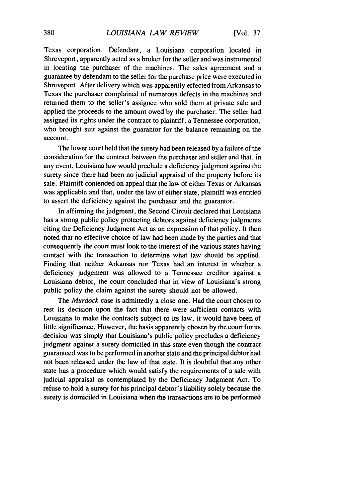Texas corporation. Defendant, a Louisiana corporation located in Shreveport, apparently acted as a broker for the seller and was instrumental in locating the purchaser of the machines. The sales agreement and a guarantee by defendant to the seller for the purchase price were executed in Shreveport. After delivery which was apparently effected from Arkansas to Texas the purchaser complained of numerous defects in the machines and returned them to the seller's assignee who sold them at private sale and applied the proceeds to the amount owed by the purchaser. The seller had assigned its rights under the contract to plaintiff, a Tennessee corporation, who brought suit against the guarantor for the balance remaining on the account.

The lower court held that the surety had been released by a failure of the consideration for the contract between the purchaser and seller and that, in any event, Louisiana law would preclude a deficiency judgment against the surety since there had been no judicial appraisal of the property before its sale. Plaintiff contended on appeal that the law of either Texas or Arkansas was applicable and that, under the law of either state, plaintiff was entitled to assert the deficiency against the purchaser and the guarantor.

In affirming the judgment, the Second Circuit declared that Louisiana has a strong public policy protecting debtors against deficiency judgments citing the Deficiency Judgment Act as an expression of that policy. It then noted that no effective choice of law had been made by the parties and that consequently the court must look to the interest of the various states having contact with the transaction to determine what law should be applied. Finding that neither Arkansas nor Texas had an interest in whether a deficiency judgement was allowed to a Tennessee creditor against a Louisiana debtor, the court concluded that in view of Louisiana's strong public policy the claim against the surety should not be allowed.

The *Murdock* case is admittedly a close one. Had the court chosen to rest its decision upon the fact that there were sufficient contacts with Louisiana to make the contracts subject to its law, it would have been of little significance. However, the basis apparently chosen by the court for its decision was simply that Louisiana's public policy precludes a deficiency judgment against a surety domiciled in this state even though the contract guaranteed was to be performed in another state and the principal debtor had not been released under the law of that state. It is doubtful that any other state has a procedure which would satisfy the requirements of a sale with judicial appraisal as contemplated by the Deficiency Judgment Act. To refuse to hold a surety for his principal debtor's liability solely because the surety is domiciled in Louisiana when the transactions are to be performed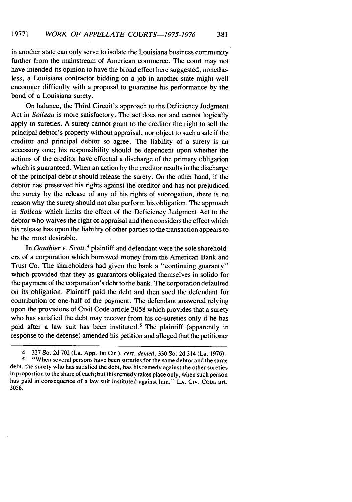in another state can only serve to isolate the Louisiana business community further from the mainstream of American commerce. The court may not have intended its opinion to have the broad effect here suggested; nonetheless, a Louisiana contractor bidding on a job in another state might well encounter difficulty with a proposal to guarantee his performance by the bond of a Louisiana surety.

On balance, the Third Circuit's approach to the Deficiency Judgment Act in *Soileau* is more satisfactory. The act does not and cannot logically apply to sureties. A surety cannot grant to the creditor the right to sell the principal debtor's property without appraisal, nor object to such a sale if the creditor and principal debtor so agree. The liability of a surety is an accessory one; his responsibility should be dependent upon whether the actions of the creditor have effected a discharge of the primary obligation which is guaranteed. When an action by the creditor results in the discharge of the principal debt it should release the surety. On the other hand, if the debtor has preserved his rights against the creditor and has not prejudiced the surety by the release of any of his rights of subrogation, there is no reason why the surety should not also perform his obligation. The approach in *Soileau* which limits the effect of the Deficiency Judgment Act to the debtor who waives the right of appraisal and then considers the effect which his release has upon the liability of other parties to the transaction appears to be the most desirable.

In Gauthier *v.* Scott,<sup>4</sup> plaintiff and defendant were the sole shareholders of a corporation which borrowed money from the American Bank and Trust Co. The shareholders had given the bank a "continuing guaranty" which provided that they as guarantors obligated themselves in solido for the payment of the corporation's debt to the bank. The corporation defaulted on its obligation. Plaintiff paid the debt and then sued the defendant for contribution of one-half of the payment. The defendant answered relying upon the provisions of Civil Code article 3058 which provides that a surety who has satisfied the debt may recover from his co-sureties only if he has paid after a law suit has been instituted.<sup>5</sup> The plaintiff (apparently in response to the defense) amended his petition and alleged that the petitioner

<sup>4. 327</sup> So. 2d 702 (La. App. 1st Cir.), *cert. denied,* 330 So. 2d 314 (La. 1976). **5.** "When several persons have been sureties for the same debtor and the same debt, the surety who has satisfied the debt, has his remedy against the other sureties in proportion to the share of each; but this remedy takes place only, when such person has paid in consequence of a law suit instituted against him." LA. CIv. **CODE** art. 3058.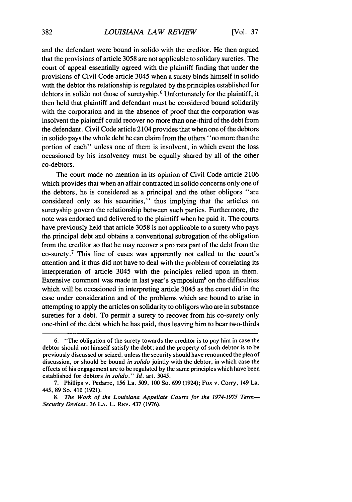and the defendant were bound in solido with the creditor. He then argued that the provisions of article 3058 are not applicable to solidary sureties. The court of appeal essentially agreed with the plaintiff finding that under the provisions of Civil Code article 3045 when a surety binds himself in solido with the debtor the relationship is regulated by the principles established for debtors in solido not those of suretyship. 6 Unfortunately for the plaintiff, it then held that plaintiff and defendant must be considered bound solidarily with the corporation and in the absence of proof that the corporation was insolvent the plaintiff could recover no more than one-third of the debt from the defendant. Civil Code article 2104 provides that when one of the debtors in solido pays the whole debt he can claim from the others "no more than the portion of each" unless one of them is insolvent, in which event the loss occasioned by his insolvency must be equally shared by all of the other co-debtors.

The court made no mention in its opinion of Civil Code article 2106 which provides that when an affair contracted in solido concerns only one of the debtors, he is considered as a principal and the other obligors "are considered only as his securities," thus implying that the articles on suretyship govern the relationship between such parties. Furthermore, the note was endorsed and delivered to the plaintiff when he paid it. The courts have previously held that article 3058 is not applicable to a surety who pays the principal debt and obtains a conventional subrogation of the obligation from the creditor so that he may recover a pro rata part of the debt from the co-surety.7 This line of cases was apparently not called to the court's attention and it thus did not have to deal with the problem of correlating its interpretation of article 3045 with the principles relied upon in them. Extensive comment was made in last year's symposium<sup>8</sup> on the difficulties which will be occasioned in interpreting article 3045 as the court did in the case under consideration and of the problems which are bound to arise in attempting to apply the articles on solidarity to obligors who are in substance sureties for a debt. To permit a surety to recover from his co-surety only one-third of the debt which he has paid, thus leaving him to bear two-thirds

<sup>6. &</sup>quot;The obligation of the surety towards the creditor is to pay him in case the debtor should not himself satisfy the debt; and the property of such debtor is to be previously discussed or seized, unless the security should have renounced the plea of discussion, or should be bound in *solido* jointly with the debtor, in which case the effects of his engagement are to be regulated by the same principles which have been established for debtors in solido." *Id.* art. 3045.

<sup>7.</sup> Phillips v. Pedarre, 156 La. 509, 100 So. 699 (1924); Fox v. Corry, 149 La. 445, 89 So. 410 (1921).

*<sup>8.</sup>* The Work of the Louisiana Appellate Courts for the 1974-1975 Term-Security Devices, **36 LA.** L. REV. 437 (1976).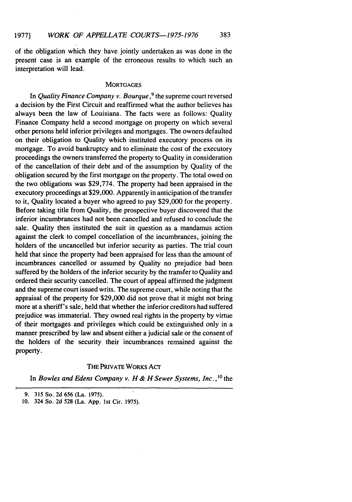of the obligation which they have jointly undertaken as was done in the present case is an example of the erroneous results to which such an interpretation will lead.

## **MORTGAGES**

In Quality Finance Company *v. Bourque ,9* the supreme court reversed a decision by the First Circuit and reaffirmed what the author believes has always been the law of Louisiana. The facts were as follows: Quality Finance Company held a second mortgage on property on which several other persons held inferior privileges and mortgages. The owners defaulted on their obligation to Quality which instituted executory process on its mortgage. To avoid bankruptcy and to eliminate the cost of the executory proceedings the owners transferred the property to Quality in consideration of the cancellation of their debt and of the assumption by Quality of the obligation secured by the first mortgage on the property. The total owed on the two obligations was \$29,774. The property had been appraised in the executory proceedings at \$29,000. Apparently in anticipation of the transfer to it, Quality located a buyer who agreed to pay \$29,000 for the property. Before taking title from Quality, the prospective buyer discovered that the inferior incumbrances had not been cancelled and refused to conclude the sale. Quality then instituted the suit in question as a mandamus action against the clerk to compel concellation of the incumbrances, joining the holders of the uncancelled but inferior security as parties. The trial court held that since the property had been appraised for less than the amount of incumbrances cancelled or assumed by Quality no prejudice had been suffered by the holders of the inferior security by the transfer to Quality and ordered their security cancelled. The court of appeal affirmed the judgment and the supreme court issued writs. The supreme court, while noting that the appraisal of the property for \$29,000 did not prove that it might not bring more at a sheriff's sale, held that whether the inferior creditors had suffered prejudice was immaterial. They owned real rights in the property by virtue of their mortgages and privileges which could be extinguished only in a manner prescribed by law and absent either a judicial sale or the consent of the holders of the security their incumbrances remained against the property.

# **THE** PRIVATE WORKS **AcT**

In *Bowles and Edens Company v. H & H Sewer Systems, Inc.*,<sup>10</sup> the

<sup>9.</sup> **315** So. 2d **656** (La. 1975).

**<sup>10.</sup>** 324 So. 2d **528** (La. **App.** Ist Cir. 1975).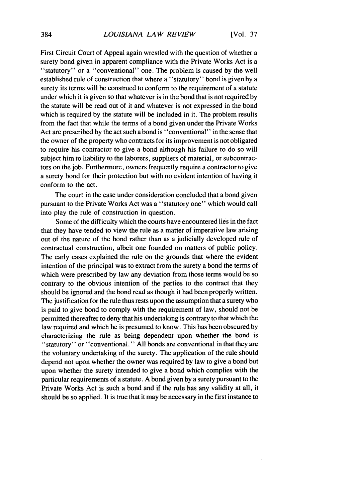First Circuit Court of Appeal again wrestled with the question of whether a surety bond given in apparent compliance with the Private Works Act is a "statutory" or a "conventional" one. The problem is caused by the well established rule of construction that where a "statutory" bond is given by a surety its terms will be construed to conform to the requirement of a statute under which it is given so that whatever is in the bond that is not required by the statute will be read out of it and whatever is not expressed in the bond which is required by the statute will be included in it. The problem results from the fact that while the terms of a bond given under the Private Works Act are prescribed by the act such a bond is "conventional" in the sense that the owner of the property who contracts for its improvement is not obligated to require his contractor to give a bond although his failure to do so will subject him to liability to the laborers, suppliers of material, or subcontractors on the job. Furthermore, owners frequently require a contractor to give a surety bond for their protection but with no evident intention of having it conform to the act.

The court in the case under consideration concluded that a bond given pursuant to the Private Works Act was a "statutory one" which would call into play the rule of construction in question.

Some of the difficulty which the courts have encountered lies in the fact that they have tended to view the rule as a matter of imperative law arising out of the nature of the bond rather than as a judicially developed rule of contractual construction, albeit one founded on matters of public policy. The early cases explained the rule on the grounds that where the evident intention of the principal was to extract from the surety a bond the terms of which were prescribed by law any deviation from those terms would be so contrary to the obvious intention of the parties to the contract that they should be ignored and the bond read as though it had been properly written. The justification for the rule thus rests upon the assumption that a surety who is paid to give bond to comply with the requirement of law, should not be permitted thereafter to deny that his undertaking is contrary to that which the law required and which he is presumed to know. This has been obscured by characterizing the rule as being dependent upon whether the bond is "statutory" or "conventional." All bonds are conventional in that they are the voluntary undertaking of the surety. The application of the rule should depend not upon whether the owner was required by law to give a bond but upon whether the surety intended to give a bond which complies with the particular requirements of a statute. A bond given by a surety pursuant to the Private Works Act is such a bond and if the rule has any validity at all, it should be so applied. It is true that it may be necessary in the first instance to